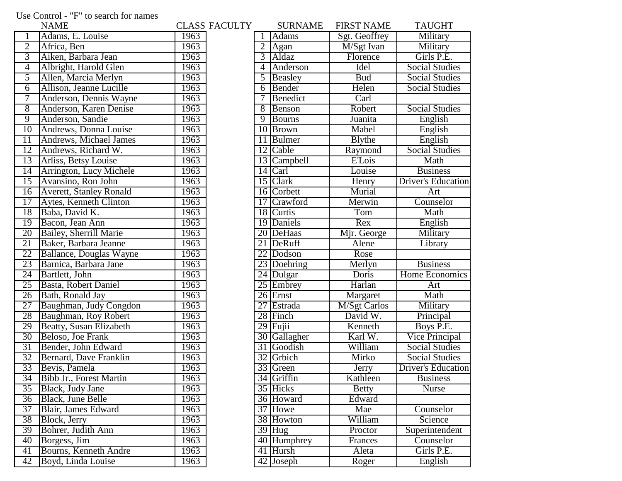## Use Control - "F" to search for names

|                 | <b>NAME</b>                    |      | <b>CLASS FACULTY</b> |                 | <b>SURNAME</b> | <b>FIRST NAME</b>    | <b>TAUGHT</b>             |
|-----------------|--------------------------------|------|----------------------|-----------------|----------------|----------------------|---------------------------|
|                 | Adams, E. Louise               | 1963 |                      |                 | Adams          | Sgt. Geoffrey        | Military                  |
| $\overline{2}$  | Africa, Ben                    | 1963 |                      | $\overline{2}$  | Agan           | M/Sgt Ivan           | Military                  |
| $\overline{3}$  | Aiken, Barbara Jean            | 1963 |                      | 3               | Aldaz          | Florence             | Girls P.E.                |
| 4               | Albright, Harold Glen          | 1963 |                      | 4               | Anderson       | Idel                 | <b>Social Studies</b>     |
| 5               | Allen, Marcia Merlyn           | 1963 |                      | 5               | Beasley        | <b>Bud</b>           | <b>Social Studies</b>     |
| 6               | Allison, Jeanne Lucille        | 1963 |                      | 6               | Bender         | Helen                | <b>Social Studies</b>     |
| 7               | Anderson, Dennis Wayne         | 1963 |                      | 7               | Benedict       | Carl                 |                           |
| $\overline{8}$  | Anderson, Karen Denise         | 1963 |                      | 8               | Benson         | Robert               | <b>Social Studies</b>     |
| $\overline{9}$  | Anderson, Sandie               | 1963 |                      | 9               | <b>Bourns</b>  | Juanita              | English                   |
| $\overline{10}$ | Andrews, Donna Louise          | 1963 |                      | 10              | Brown          | Mabel                | English                   |
| 11              | Andrews, Michael James         | 1963 |                      | 11              | Bulmer         | <b>B</b> lythe       | English                   |
| 12              | Andrews, Richard W.            | 1963 |                      | 12              | Cable          | Raymond              | <b>Social Studies</b>     |
| 13              | Arliss, Betsy Louise           | 1963 |                      |                 | 13 Campbell    | <b>E'Lois</b>        | Math                      |
| $\overline{14}$ | Arrington, Lucy Michele        | 1963 |                      |                 | $14$ Carl      | Louise               | <b>Business</b>           |
| $\overline{15}$ | Avansino, Ron John             | 1963 |                      |                 | 15 Clark       | Henry                | <b>Driver's Education</b> |
| $\overline{16}$ | <b>Averett, Stanley Ronald</b> | 1963 |                      |                 | 16 Corbett     | Murial               | Art                       |
| 17              | Aytes, Kenneth Clinton         | 1963 |                      |                 | 17 Crawford    | Merwin               | Counselor                 |
| 18              | Baba, David K.                 | 1963 |                      |                 | 18 Curtis      | Tom                  | Math                      |
| 19              | Bacon, Jean Ann                | 1963 |                      |                 | 19 Daniels     | Rex                  | English                   |
| 20              | Bailey, Sherrill Marie         | 1963 |                      |                 | 20 DeHaas      | Mjr. George          | Military                  |
| 21              | Baker, Barbara Jeanne          | 1963 |                      |                 | 21 DeRuff      | Alene                | Library                   |
| 22              | Ballance, Douglas Wayne        | 1963 |                      | 22              | Dodson         | Rose                 |                           |
| 23              | Barnica, Barbara Jane          | 1963 |                      |                 | 23 Doehring    | Merlyn               | <b>Business</b>           |
| 24              | Bartlett, John                 | 1963 |                      | $\overline{24}$ | Dulgar         | Doris                | Home Economics            |
| 25              | Basta, Robert Daniel           | 1963 |                      | 25              | Embrey         | Harlan               | Art                       |
| $\overline{26}$ | Bath, Ronald Jay               | 1963 |                      |                 | 26 Ernst       | Margaret             | Math                      |
| 27              | Baughman, Judy Congdon         | 1963 |                      | 27              | Estrada        | <b>M</b> /Sgt Carlos | Military                  |
| 28              | Baughman, Roy Robert           | 1963 |                      |                 | 28 Finch       | David W.             | Principal                 |
| 29              | <b>Beatty, Susan Elizabeth</b> | 1963 |                      | 29              | Fuiii          | Kenneth              | Boys P.E.                 |
| 30              | Beloso, Joe Frank              | 1963 |                      |                 | 30 Gallagher   | Karl W.              | Vice Principal            |
| 31              | Bender, John Edward            | 1963 |                      |                 | 31 Goodish     | William              | <b>Social Studies</b>     |
| 32              | Bernard, Dave Franklin         | 1963 |                      | 32              | Grbich         | Mirko                | <b>Social Studies</b>     |
| 33              | Bevis, Pamela                  | 1963 |                      |                 | 33 Green       | Jerry                | Driver's Education        |
| $\overline{34}$ | Bibb Jr., Forest Martin        | 1963 |                      |                 | 34 Griffin     | Kathleen             | <b>Business</b>           |
| $\overline{35}$ | Black, Judy Jane               | 1963 |                      |                 | 35 Hicks       | <b>Betty</b>         | <b>Nurse</b>              |
| $\overline{36}$ | Black, June Belle              | 1963 |                      |                 | 36 Howard      | Edward               |                           |
| $\overline{37}$ | Blair, James Edward            | 1963 |                      |                 | 37 Howe        | Mae                  | Counselor                 |
| 38              | Block, Jerry                   | 1963 |                      |                 | 38 Howton      | William              | Science                   |
| 39              | Bohrer, Judith Ann             | 1963 |                      |                 | $39$ Hug       | Proctor              | Superintendent            |
| 40              | Borgess, Jim                   | 1963 |                      |                 | 40 Humphrey    | Frances              | Counselor                 |
| 41              | Bourns, Kenneth Andre          | 1963 |                      |                 | 41 Hursh       | Aleta                | Girls P.E.                |
| 42              | Boyd, Linda Louise             | 1963 |                      |                 | 42 Joseph      | Roger                | English                   |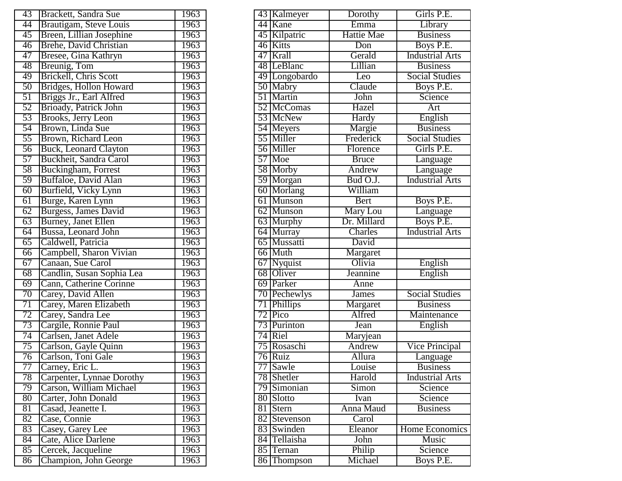| 43              | Brackett, Sandra Sue         | 1963 | 43 Kalmeyer   | Dorothy           | Girls F             |
|-----------------|------------------------------|------|---------------|-------------------|---------------------|
| 44              | Brautigam, Steve Louis       | 1963 | 44 Kane       | Emma              | Libra               |
| 45              | Breen, Lillian Josephine     | 1963 | 45 Kilpatric  | <b>Hattie Mae</b> | <b>Busin</b>        |
| 46              | Brehe, David Christian       | 1963 | 46 Kitts      | Don               | <b>Boys</b> I       |
| 47              | Bresee, Gina Kathryn         | 1963 | 47 Krall      | Gerald            | Industria           |
| 48              | Breunig, Tom                 | 1963 | 48 LeBlanc    | Lillian           | <b>Busin</b>        |
| 49              | Brickell, Chris Scott        | 1963 | 49 Longobardo | Leo               | Social St           |
| 50              | Bridges, Hollon Howard       | 1963 | 50 Mabry      | Claude            | <b>Boys</b> I       |
| $\overline{51}$ | Briggs Jr., Earl Alfred      | 1963 | 51 Martin     | John              | Scien               |
| 52              | Brioady, Patrick John        | 1963 | 52 McComas    | Hazel             | Art                 |
| 53              | Brooks, Jerry Leon           | 1963 | 53 McNew      | Hardy             | Engli               |
| 54              | Brown, Linda Sue             | 1963 | 54 Meyers     | Margie            | <b>Busin</b>        |
| 55              | Brown, Richard Leon          | 1963 | 55 Miller     | Frederick         | Social St           |
| 56              | <b>Buck, Leonard Clayton</b> | 1963 | 56 Miller     | Florence          | Girls F             |
| 57              | Buckheit, Sandra Carol       | 1963 | 57 Moe        | <b>Bruce</b>      | Langu               |
| 58              | Buckingham, Forrest          | 1963 | 58 Morby      | Andrew            | Langu               |
| 59              | Buffaloe, David Alan         | 1963 | 59 Morgan     | Bud O.J.          | Industria           |
| 60              | Burfield, Vicky Lynn         | 1963 | 60 Morlang    | William           |                     |
| 61              | Burge, Karen Lynn            | 1963 | 61 Munson     | <b>Bert</b>       | <b>Boys</b> I       |
| 62              | Burgess, James David         | 1963 | 62 Munson     | Mary Lou          | Langu               |
| $\overline{63}$ | <b>Burney, Janet Ellen</b>   | 1963 | 63 Murphy     | Dr. Millard       | Boys F              |
| 64              | Bussa, Leonard John          | 1963 | 64 Murray     | Charles           | Industria           |
| 65              | Caldwell, Patricia           | 1963 | 65 Mussatti   | David             |                     |
| 66              | Campbell, Sharon Vivian      | 1963 | 66 Muth       | Margaret          |                     |
| 67              | Canaan, Sue Carol            | 1963 | 67 Nyquist    | Olivia            | Engli               |
| 68              | Candlin, Susan Sophia Lea    | 1963 | 68 Oliver     | Jeannine          | Engli               |
| 69              | Cann, Catherine Corinne      | 1963 | 69 Parker     | Anne              |                     |
| 70              | Carey, David Allen           | 1963 | 70 Pechewlys  | <b>James</b>      | Social St           |
| 71              | Carey, Maren Elizabeth       | 1963 | 71 Phillips   | Margaret          | <b>Busin</b>        |
| 72              | Carey, Sandra Lee            | 1963 | 72 Pico       | Alfred            | Mainten             |
| 73              | Cargile, Ronnie Paul         | 1963 | 73 Purinton   | Jean              | Engli               |
| 74              | Carlsen, Janet Adele         | 1963 | 74 Riel       | Maryjean          |                     |
| 75              | Carlson, Gayle Quinn         | 1963 | 75 Rosaschi   | Andrew            | Vice Prin           |
| 76              | Carlson, Toni Gale           | 1963 | 76 Ruiz       | Allura            | Langu               |
| 77              | Carney, Eric L.              | 1963 | 77 Sawle      | Louise            | <b>Busin</b>        |
| 78              | Carpenter, Lynnae Dorothy    | 1963 | 78 Shetler    | Harold            | Industria           |
| 79              | Carson, William Michael      | 1963 | 79 Simonian   | Simon             | $\overline{S}$ cien |
| 80              | Carter, John Donald          | 1963 | 80 Slotto     | Ivan              | Scien               |
| 81              | Casad, Jeanette I.           | 1963 | 81 Stern      | Anna Maud         | <b>Busin</b>        |
| 82              | Case, Connie                 | 1963 | 82 Stevenson  | Carol             |                     |
| 83              | Casey, Garey Lee             | 1963 | 83 Swinden    | Eleanor           | Home Eco            |
| 84              | Cate, Alice Darlene          | 1963 | 84 Tellaisha  | John              | Mus                 |
| 85              | Cercek, Jacqueline           | 1963 | 85 Ternan     | Philip            | Scien               |
| 86              | Champion, John George        | 1963 | 86 Thompson   | Michael           | Boys $\overline{F}$ |

| 43              | Brackett, Sandra Sue         | 1963 |                       | 43 Kalmeyer   | Dorothy                       | Girls P.E.             |
|-----------------|------------------------------|------|-----------------------|---------------|-------------------------------|------------------------|
| 44              | Brautigam, Steve Louis       | 1963 | 44 Kane               |               | Emma                          | Library                |
| 45              | Breen, Lillian Josephine     | 1963 | 45 Kilpatric          |               | <b>Hattie Mae</b>             | <b>Business</b>        |
| 46              | Brehe, David Christian       | 1963 | 46 Kitts              |               | Don                           | Boys P.E.              |
| 47              | Bresee, Gina Kathryn         | 1963 | 47 Krall              |               | Gerald                        | <b>Industrial Arts</b> |
| 48              | Breunig, Tom                 | 1963 | 48 LeBlanc            |               | Lillian                       | <b>Business</b>        |
| 49              | Brickell, Chris Scott        | 1963 |                       | 49 Longobardo | Leo                           | <b>Social Studies</b>  |
| 50              | Bridges, Hollon Howard       | 1963 | 50 Mabry              |               | Claude                        | Boys P.E.              |
| 51              | Briggs Jr., Earl Alfred      | 1963 | 51 Martin             |               | John                          | Science                |
| 52              | Brioady, Patrick John        | 1963 |                       | 52 McComas    | Hazel                         | Art                    |
| 53              | Brooks, Jerry Leon           | 1963 | 53 McNew              |               | <b>Hardy</b>                  | English                |
| 54              | Brown, Linda Sue             | 1963 | 54 Meyers             |               | Margie                        | <b>Business</b>        |
| 55              | Brown, Richard Leon          | 1963 | 55 Miller             |               | Frederick                     | <b>Social Studies</b>  |
| 56              | <b>Buck, Leonard Clayton</b> | 1963 | 56 Miller             |               | Florence                      | Girls P.E.             |
| $\overline{57}$ | Buckheit, Sandra Carol       | 1963 | 57 Moe                |               | <b>Bruce</b>                  | Language               |
| 58              | Buckingham, Forrest          | 1963 | $\overline{58}$ Morby |               | Andrew                        | Language               |
| 59              | Buffaloe, David Alan         | 1963 | 59 Morgan             |               | Bud O.J.                      | <b>Industrial Arts</b> |
| $60\,$          | Burfield, Vicky Lynn         | 1963 | 60 Morlang            |               | William                       |                        |
| $\overline{61}$ | Burge, Karen Lynn            | 1963 | 61 Munson             |               | <b>Bert</b>                   | Boys P.E.              |
| $\overline{62}$ | Burgess, James David         | 1963 | 62 Munson             |               | Mary Lou                      | Language               |
| $\overline{63}$ | <b>Burney</b> , Janet Ellen  | 1963 | 63 Murphy             |               | Dr. Millard                   | Boys P.E.              |
| 64              | Bussa, Leonard John          | 1963 | 64 Murray             |               | Charles                       | <b>Industrial Arts</b> |
| 65              | Caldwell, Patricia           | 1963 | 65 Mussatti           |               | David                         |                        |
| 66              | Campbell, Sharon Vivian      | 1963 | 66 Muth               |               | Margaret                      |                        |
| 67              | Canaan, Sue Carol            | 1963 | 67 Nyquist            |               | Olivia                        | English                |
| 68              | Candlin, Susan Sophia Lea    | 1963 | 68 Oliver             |               | Jeannine                      | English                |
| 69              | Cann, Catherine Corinne      | 1963 | 69 Parker             |               | Anne                          |                        |
| 70              | Carey, David Allen           | 1963 |                       | 70 Pechewlys  | James                         | <b>Social Studies</b>  |
| $\overline{71}$ | Carey, Maren Elizabeth       | 1963 | 71 Phillips           |               | $\overline{\text{M}}$ argaret | <b>Business</b>        |
| 72              | Carey, Sandra Lee            | 1963 | 72 Pico               |               | Alfred                        | Maintenance            |
| 73              | Cargile, Ronnie Paul         | 1963 | 73 Purinton           |               | Jean                          | English                |
| 74              | Carlsen, Janet Adele         | 1963 | 74 Riel               |               | Maryjean                      |                        |
| $\overline{75}$ | Carlson, Gayle Quinn         | 1963 | 75 Rosaschi           |               | Andrew                        | <b>Vice Principal</b>  |
| $\overline{76}$ | Carlson, Toni Gale           | 1963 | 76 Ruiz               |               | Allura                        | Language               |
| 77              | Carney, Eric L.              | 1963 | 77 Sawle              |               | Louise                        | <b>Business</b>        |
| 78              | Carpenter, Lynnae Dorothy    | 1963 | 78 Shetler            |               | Harold                        | <b>Industrial Arts</b> |
| 79              | Carson, William Michael      | 1963 | 79 Simonian           |               | <b>Simon</b>                  | Science                |
| $\overline{80}$ | Carter, John Donald          | 1963 | 80 Slotto             |               | Ivan                          | Science                |
| $\overline{81}$ | Casad, Jeanette I.           | 1963 | 81 Stern              |               | Anna Maud                     | <b>Business</b>        |
| 82              | Case, Connie                 | 1963 |                       | 82 Stevenson  | Carol                         |                        |
| 83              | Casey, Garey Lee             | 1963 | 83 Swinden            |               | Eleanor                       | Home Economics         |
| 84              | Cate, Alice Darlene          | 1963 | 84 Tellaisha          |               | John                          | Music                  |
| 85              | Cercek, Jacqueline           | 1963 | 85 Ternan             |               | Philip                        | Science                |
| 86              | Champion, John George        | 1963 |                       | 86 Thompson   | Michael                       | Boys P.E.              |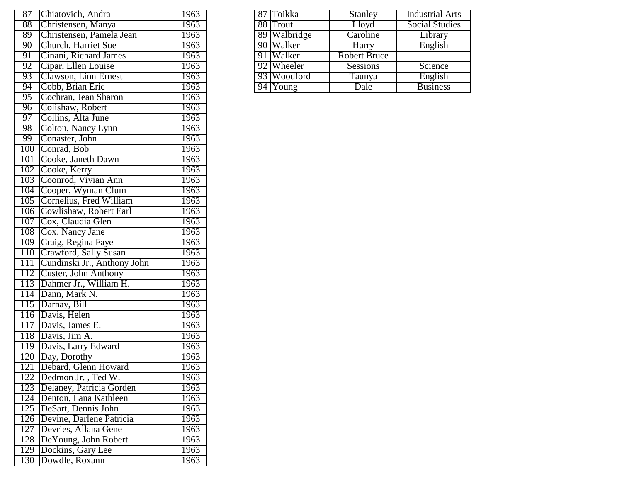| 87<br>Chiatovich, Andra                 | 1963 | 87 Toikka    | <b>Stanley</b>      |
|-----------------------------------------|------|--------------|---------------------|
| 88<br>Christensen, Manya                | 1963 | 88 Trout     | Lloyd               |
| 89<br>Christensen, Pamela Jean          | 1963 | 89 Walbridge | Caroline            |
| 90<br>Church, Harriet Sue               | 1963 | 90 Walker    | Harry               |
| 91<br>Cinani, Richard James             | 1963 | 91 Walker    | <b>Robert Bruce</b> |
| 92<br>Cipar, Ellen Louise               | 1963 | 92 Wheeler   | Sessions            |
| 93<br>Clawson, Linn Ernest              | 1963 | 93 Woodford  | Taunya              |
| 94<br>Cobb, Brian Eric                  | 1963 | 94 Young     | Dale                |
| $\overline{95}$<br>Cochran, Jean Sharon | 1963 |              |                     |
| 96<br>Colishaw, Robert                  | 1963 |              |                     |
| Collins, Alta June<br>97                | 1963 |              |                     |
| 98<br>Colton, Nancy Lynn                | 1963 |              |                     |
| Conaster, John<br>99                    | 1963 |              |                     |
| 100<br>Conrad, Bob                      | 1963 |              |                     |
| Cooke, Janeth Dawn<br>101               | 1963 |              |                     |
| 102<br>Cooke, Kerry                     | 1963 |              |                     |
| Coonrod, Vivian Ann<br>103              | 1963 |              |                     |
| 104<br>Cooper, Wyman Clum               | 1963 |              |                     |
| 105<br>Cornelius, Fred William          | 1963 |              |                     |
| Cowlishaw, Robert Earl<br>106           | 1963 |              |                     |
| Cox, Claudia Glen<br>107                | 1963 |              |                     |
| 108 Cox, Nancy Jane                     | 1963 |              |                     |
| 109<br>Craig, Regina Faye               | 1963 |              |                     |
| 110<br>Crawford, Sally Susan            | 1963 |              |                     |
| 111<br>Cundinski Jr., Anthony John      | 1963 |              |                     |
| Custer, John Anthony<br>112             | 1963 |              |                     |
| Dahmer Jr., William H.<br>113           | 1963 |              |                     |
| 114<br>Dann, Mark N.                    | 1963 |              |                     |
| Darnay, Bill<br>115                     | 1963 |              |                     |
| Davis, Helen<br>116                     | 1963 |              |                     |
| Davis, James E.<br>117                  | 1963 |              |                     |
| 118<br>Davis, Jim A.                    | 1963 |              |                     |
| Davis, Larry Edward<br>119              | 1963 |              |                     |
| 120<br>Day, Dorothy                     | 1963 |              |                     |
| 121<br>Debard, Glenn Howard             | 1963 |              |                     |
| Dedmon Jr., Ted W.<br>122               | 1963 |              |                     |
| 123<br>Delaney, Patricia Gorden         | 1963 |              |                     |
| 124<br>Denton, Lana Kathleen            | 1963 |              |                     |
| DeSart, Dennis John<br>125              | 1963 |              |                     |
| 126<br>Devine, Darlene Patricia         | 1963 |              |                     |
| 127<br>Devries, Allana Gene             | 1963 |              |                     |
| DeYoung, John Robert<br>128             | 1963 |              |                     |
| 129<br>Dockins, Gary Lee                | 1963 |              |                     |
| 130<br>Dowdle, Roxann                   | 1963 |              |                     |

| 87 Chiatovich, Andra        | 1963 |  | 87 Toikka             | Stanley         | <b>Industrial Arts</b> |
|-----------------------------|------|--|-----------------------|-----------------|------------------------|
| 88 Christensen, Manya       | 1963 |  | 88 Trout              | Lloyd           | <b>Social Studies</b>  |
| 89 Christensen, Pamela Jean | 1963 |  | 89 Walbridge          | Caroline        | Library                |
| 90 Church, Harriet Sue      | 1963 |  | 90 Walker             | Harry           | English                |
| 91 Cinani, Richard James    | 1963 |  | 91 Walker             | Robert Bruce    |                        |
| 92 Cipar, Ellen Louise      | 1963 |  | 92 Wheeler            | <b>Sessions</b> | Science                |
| 93 Clawson, Linn Ernest     | 1963 |  | 93 Woodford           | Taunya          | English                |
| 94 Cobb, Brian Eric         | 1963 |  | $\overline{94}$ Young | Dale            | <b>Business</b>        |
| 95 Cochran Jean Sharon      | 1963 |  |                       |                 |                        |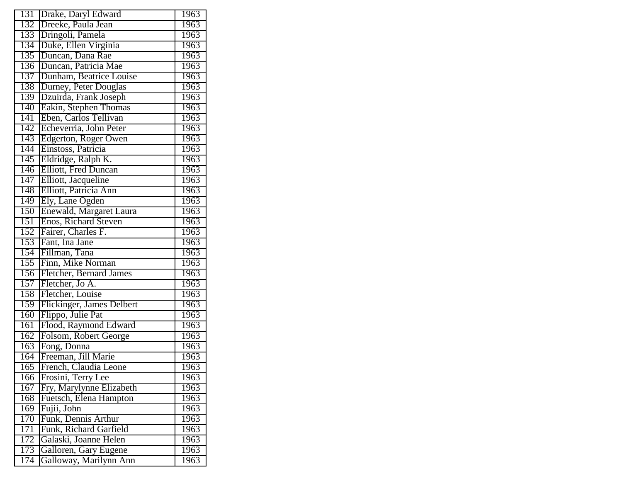| 131              | Drake, Daryl Edward                             | 1963              |
|------------------|-------------------------------------------------|-------------------|
| 132              | Dreeke, Paula Jean                              | 1963              |
| 133              | Dringoli, Pamela                                | 1963              |
| 134              | Duke, Ellen Virginia                            | 1963              |
| 135              | Duncan, Dana Rae                                | 1963              |
| 136              | Duncan, Patricia Mae                            | 1963              |
| 137              | Dunham, Beatrice Louise                         | 1963              |
| 138              | Durney, Peter Douglas                           | 1963              |
| 139              | Dzuirda, Frank Joseph                           | 1963              |
| $1\overline{40}$ | Eakin, Stephen Thomas                           | <b>1963</b>       |
| 141              | Eben, Carlos Tellivan                           | 1963              |
| 142              | Echeverria, John Peter                          | 1963              |
| 143              | Edgerton, Roger Owen                            | 1963              |
| 144              | Einstoss, Patricia                              | 1963              |
| 145              | Eldridge, Ralph K.                              | 1963              |
| 146              | <b>Elliott</b> , Fred Duncan                    | 1963              |
| 147              | Elliott, Jacqueline                             | 1963              |
| 148              | Elliott, Patricia Ann                           | 1963              |
| 149              | Ely, Lane Ogden                                 | 1963              |
| 150              | Enewald, Margaret Laura                         | <b>1963</b>       |
| 151              | Enos, Richard Steven                            | 1963              |
| 152              | Fairer, Charles F.                              | 1963              |
| 153              | Fant, Ina Jane                                  | 1963              |
| 154              | Fillman, Tana                                   | 1963              |
| 155              | Finn, Mike Norman                               | 1963              |
| 156              | Fletcher, Bernard James                         | 1963              |
| 157              | Fletcher, Jo A.                                 | 1963              |
| 158              | Fletcher, Louise                                | 1963              |
| 159              | Flickinger, James Delbert                       | 1963              |
| 160              | Flippo, Julie Pat                               | $\overline{1}963$ |
| 161              | Flood, Raymond Edward                           | 1963              |
| 162              | Folsom, Robert George                           | 1963              |
| 163              | Fong, Donna                                     | 1963              |
| 164              | Freeman, Jill Marie                             | 1963              |
| 165              | French, Claudia Leone                           | 1963              |
| 166              | Frosini, Terry Lee                              | 1963              |
| 167              | Fry, Marylynne Elizabeth                        | 1963              |
| 168              | Fuetsch, Elena Hampton                          | 1963              |
| 169              | Fujii, John                                     | 1963              |
| 170              | Funk, Dennis Arthur                             | 1963              |
| 171              | Funk, Richard Garfield                          | 1963              |
| 172              | Galaski, Joanne Helen                           | 1963              |
| 173              |                                                 | 1963              |
| 174              | Galloren, Gary Eugene<br>Galloway, Marilynn Ann | 1963              |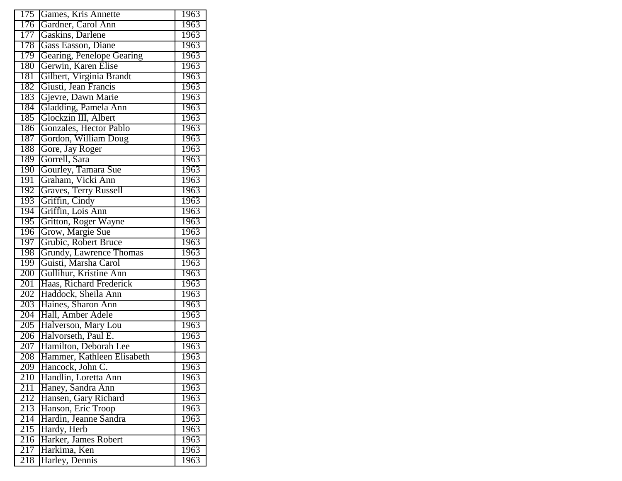| $\overline{175}$ | Games, Kris Annette        | 1963 |
|------------------|----------------------------|------|
| 176              | Gardner, Carol Ann         | 1963 |
| 177              | Gaskins, Darlene           | 1963 |
| 178              | Gass Easson, Diane         | 1963 |
| 179              | Gearing, Penelope Gearing  | 1963 |
| 180              | Gerwin, Karen Elise        | 1963 |
| 181              | Gilbert, Virginia Brandt   | 1963 |
| 182              | Giusti, Jean Francis       | 1963 |
| 183              | Gjevre, Dawn Marie         | 1963 |
| 184              | Gladding, Pamela Ann       | 1963 |
| 185              | Glockzin III, Albert       | 1963 |
| 186              | Gonzales, Hector Pablo     | 1963 |
| 187              | Gordon, William Doug       | 1963 |
| 188              | Gore, Jay Roger            | 1963 |
| 189              | Gorrell, Sara              | 1963 |
| 190              | Gourley, Tamara Sue        | 1963 |
| 191              | Graham, Vicki Ann          | 1963 |
| 192              | Graves, Terry Russell      | 1963 |
| 193              | Griffin, Cindy             | 1963 |
| 194              | Griffin, Lois Ann          | 1963 |
| 195              | Gritton, Roger Wayne       | 1963 |
| 196              | Grow, Margie Sue           | 1963 |
| 197              | Grubic, Robert Bruce       | 1963 |
| 198              | Grundy, Lawrence Thomas    | 1963 |
| 199              | Guisti, Marsha Carol       | 1963 |
| 200              | Gullihur, Kristine Ann     | 1963 |
| 201              | Haas, Richard Frederick    | 1963 |
| 202              | Haddock, Sheila Ann        | 1963 |
| 203              | Haines, Sharon Ann         | 1963 |
| 204              | Hall, Amber Adele          | 1963 |
| 205              | Halverson, Mary Lou        | 1963 |
| 206              | Halvorseth, Paul E.        | 1963 |
| $\overline{207}$ | Hamilton, Deborah Lee      | 1963 |
| 208              | Hammer, Kathleen Elisabeth | 1963 |
| 209              | Hancock, John C.           | 1963 |
| 210              | Handlin, Loretta Ann       | 1963 |
| 211              | Haney, Sandra Ann          | 1963 |
| 212              | Hansen, Gary Richard       | 1963 |
| $\overline{213}$ | Hanson, Eric Troop         | 1963 |
| 214              | Hardin, Jeanne Sandra      | 1963 |
| 215              | Hardy, Herb                | 1963 |
| 216              | Harker, James Robert       | 1963 |
| 217              | Harkima, Ken               | 1963 |
| 218              | Harley, Dennis             | 1963 |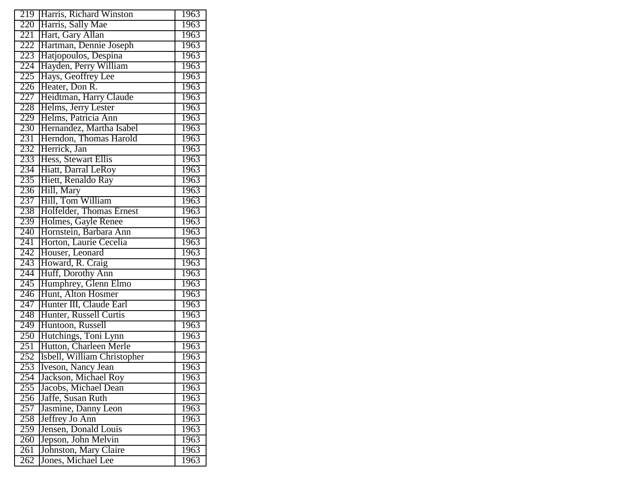| 219              | Harris, Richard Winston     | 1963              |
|------------------|-----------------------------|-------------------|
| 220              | Harris, Sally Mae           | 1963              |
| 221              | Hart, Gary Allan            | 1963              |
| 222              | Hartman, Dennie Joseph      | 1963              |
| $22\overline{3}$ | Hatjopoulos, Despina        | 1963              |
| 224              | Hayden, Perry William       | 1963              |
| 225              | Hays, Geoffrey Lee          | 1963              |
| 226              | Heater, Don R.              | 1963              |
| 227              | Heidtman, Harry Claude      | 1963              |
| 228              | Helms, Jerry Lester         | 1963              |
| 229              | Helms, Patricia Ann         | 1963              |
| 230              | Hernandez, Martha Isabel    | 1963              |
| 231              | Herndon, Thomas Harold      | 1963              |
| 232              | Herrick, Jan                | 1963              |
| 233              | Hess, Stewart Ellis         | 1963              |
| 234              | Hiatt, Darral LeRoy         | 1963              |
| 235              | Hiett, Renaldo Ray          | 1963              |
| 236              | Hill, Mary                  | 1963              |
| 237              | Hill, Tom William           | 1963              |
| 238              | Holfelder, Thomas Ernest    | 1963              |
| 239              | Holmes, Gayle Renee         | 1963              |
| 240              | Hornstein, Barbara Ann      | 1963              |
| 241              | Horton, Laurie Cecelia      | 1963              |
| 242              | Houser, Leonard             | 1963              |
| 243              | Howard, R. Craig            | 1963              |
| 244              | Huff, Dorothy Ann           | 1963              |
| 245              | Humphrey, Glenn Elmo        | 1963              |
| 246              | Hunt, Alton Hosmer          | 1963              |
| 247              | Hunter III, Claude Earl     | 1963              |
| 248              | Hunter, Russell Curtis      | <b>1963</b>       |
| 249              | Huntoon, Russell            | 1963              |
| 250              | Hutchings, Toni Lynn        | 1963              |
| $\overline{251}$ | Hutton, Charleen Merle      | 1963              |
| 252              | Isbell, William Christopher | 1963              |
| 253              | Iveson, Nancy Jean          | 1963              |
| 254              | Jackson, Michael Roy        | 1963              |
| 255              | Jacobs, Michael Dean        | $\overline{1}963$ |
| 256              | Jaffe, Susan Ruth           | 1963              |
| 257              | Jasmine, Danny Leon         | 1963              |
| 258              | Jeffrey Jo Ann              | 1963              |
| 259              | Jensen, Donald Louis        | 1963              |
| 260              | Jepson, John Melvin         | 1963              |
| 261              | Johnston, Mary Claire       | 1963              |
| 262              | Jones, Michael Lee          | 1963              |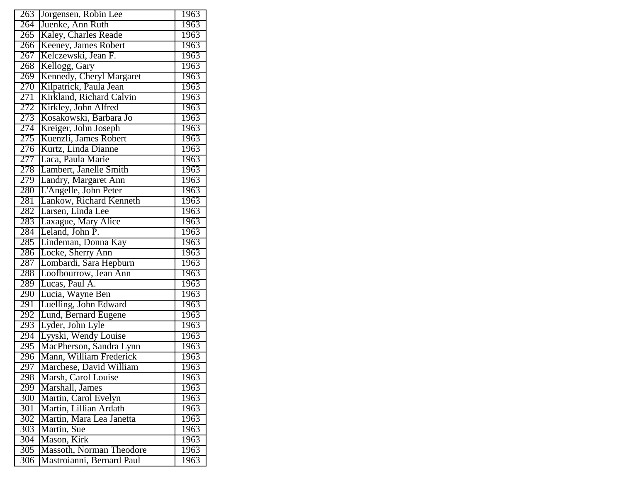| 263              | Jorgensen, Robin Lee      | 1963        |
|------------------|---------------------------|-------------|
| 264              | Juenke, Ann Ruth          | 1963        |
| 265              | Kaley, Charles Reade      | 1963        |
| 266              | Keeney, James Robert      | 1963        |
| 267              | Kelczewski, Jean F.       | 1963        |
| 268              | Kellogg, Gary             | 1963        |
| 269              | Kennedy, Cheryl Margaret  | 1963        |
| 270              | Kilpatrick, Paula Jean    | 1963        |
| 271              | Kirkland, Richard Calvin  | 1963        |
| 272              | Kirkley, John Alfred      | 1963        |
| 273              | Kosakowski, Barbara Jo    | 1963        |
| 274              | Kreiger, John Joseph      | 1963        |
| 275              | Kuenzli, James Robert     | 1963        |
| 276              | Kurtz, Linda Dianne       | 1963        |
| 277              | Laca, Paula Marie         | 1963        |
| 278              | Lambert, Janelle Smith    | 1963        |
| 279              | Landry, Margaret Ann      | 1963        |
| 280              | L'Angelle, John Peter     | 1963        |
| 281              | Lankow, Richard Kenneth   | 1963        |
| 282              | Larsen, Linda Lee         | 1963        |
| 283              | Laxague, Mary Alice       | 1963        |
| 284              | Leland, John P.           | 1963        |
| 285              | Lindeman, Donna Kay       | 1963        |
| 286              | Locke, Sherry Ann         | 1963        |
| $28\overline{7}$ | Lombardi, Sara Hepburn    | 1963        |
| 288              | Loofbourrow, Jean Ann     | 1963        |
| 289              | Lucas, Paul A.            | 1963        |
| 290              | Lucia, Wayne Ben          | 1963        |
| 291              | Luelling, John Edward     | 1963        |
| 292              | Lund, Bernard Eugene      | 1963        |
| 293              | Lyder, John Lyle          | 1963        |
| 294              | Lyyski, Wendy Louise      | 1963        |
| 295              | MacPherson, Sandra Lynn   | 1963        |
| 296              | Mann, William Frederick   | 1963        |
| 297              | Marchese, David William   | 1963        |
| 298              | Marsh, Carol Louise       | 1963        |
| 299              | Marshall, James           | <b>1963</b> |
| 300              | Martin, Carol Evelyn      | 1963        |
| 301              | Martin, Lillian Ardath    | 1963        |
| 302              | Martin, Mara Lea Janetta  | 1963        |
| 303              | Martin, Sue               | 1963        |
| 304              | Mason, Kirk               | <b>1963</b> |
| $\overline{305}$ | Massoth, Norman Theodore  | 1963        |
| $\overline{306}$ | Mastroianni, Bernard Paul | 1963        |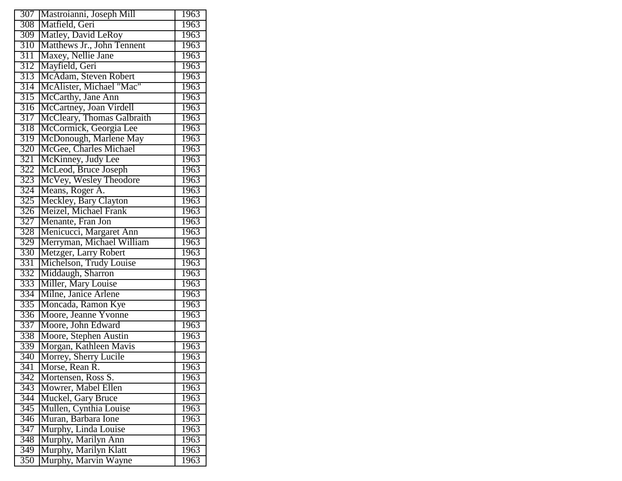| 307              | Mastroianni, Joseph Mill                       | 1963 |
|------------------|------------------------------------------------|------|
| 308              | Matfield, Geri                                 | 1963 |
| 309              | Matley, David LeRoy                            | 1963 |
| 310              | Matthews Jr., John Tennent                     | 1963 |
| 311              | Maxey, Nellie Jane                             | 1963 |
| 312              | Mayfield, Geri                                 | 1963 |
| 313              | McAdam, Steven Robert                          | 1963 |
| 314              |                                                | 1963 |
| 315              | McAlister, Michael "Mac"<br>McCarthy, Jane Ann | 1963 |
| 316              | McCartney, Joan Virdell                        | 1963 |
| 317              | McCleary, Thomas Galbraith                     | 1963 |
| 318              | McCormick, Georgia Lee                         | 1963 |
| 319              | McDonough, Marlene May                         | 1963 |
| 320              | McGee, Charles Michael                         | 1963 |
| 321              | McKinney, Judy Lee                             | 1963 |
| 322              | McLeod, Bruce Joseph                           | 1963 |
| 323              | McVey, Wesley Theodore                         | 1963 |
| 324              | Means, Roger A.                                | 1963 |
| $\overline{325}$ | Meckley, Bary Clayton                          | 1963 |
| 326              | Meizel, Michael Frank                          | 1963 |
| 327              | Menante, Fran Jon                              | 1963 |
| 328              | Menicucci, Margaret Ann                        | 1963 |
| 329              | Merryman, Michael William                      | 1963 |
| 330              | Metzger, Larry Robert                          | 1963 |
| 331              | Michelson, Trudy Louise                        | 1963 |
| 332              | Middaugh, Sharron                              | 1963 |
| 333              | Miller, Mary Louise                            | 1963 |
| 334              | Milne, Janice Arlene                           | 1963 |
| 335              | Moncada, Ramon Kye                             | 1963 |
| 336              | Moore, Jeanne Yvonne                           | 1963 |
| 337              | Moore, John Edward                             | 1963 |
| 338              | Moore, Stephen Austin                          | 1963 |
| 339              | Morgan, Kathleen Mavis                         | 1963 |
| 340              | Morrey, Sherry Lucile                          | 1963 |
| 341              | Morse, Rean R.                                 | 1963 |
| 342              | Mortensen, Ross S.                             | 1963 |
| 343              | Mowrer, Mabel Ellen                            | 1963 |
| 344              | Muckel, Gary Bruce                             | 1963 |
| 345              | Mullen, Cynthia Louise                         | 1963 |
| 346              | Muran, Barbara Ione                            | 1963 |
| 347              | Murphy, Linda Louise                           | 1963 |
| 348              | Murphy, Marilyn Ann                            | 1963 |
| 349              | Murphy, Marilyn Klatt                          | 1963 |
| 350              | Murphy, Marvin Wayne                           | 1963 |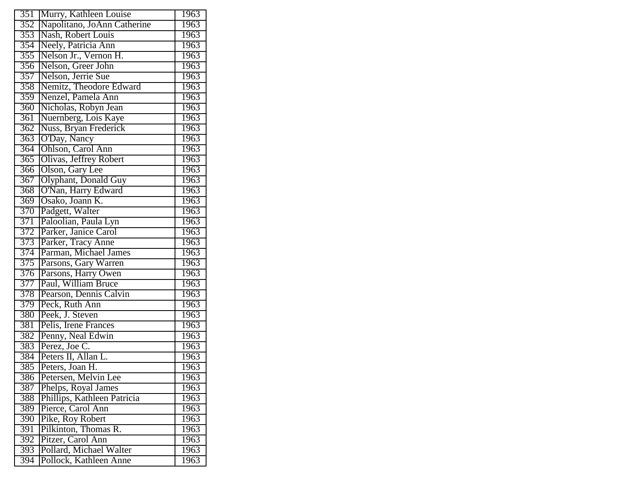| 351              | Murry, Kathleen Louise                      | 1963 |
|------------------|---------------------------------------------|------|
| 352              | Napolitano, JoAnn Catherine                 | 1963 |
| 353              | Nash, Robert Louis                          | 1963 |
| 354              | Neely, Patricia Ann                         | 1963 |
| 355              | Nelson Jr., Vernon H.                       | 1963 |
| 356              | Nelson, Greer John                          | 1963 |
| 357              | Nelson, Jerrie Sue                          | 1963 |
| 358              | Nemitz, Theodore Edward                     | 1963 |
| 359              | Nenzel, Pamela Ann                          | 1963 |
| 360              | Nicholas, Robyn Jean                        | 1963 |
| $\overline{361}$ | Nuernberg, Lois Kaye                        | 1963 |
| 362              | Nuss, Bryan Frederick                       | 1963 |
| 363              | O'Day, Nancy                                | 1963 |
| 364              | Ohlson, Carol Ann                           | 1963 |
| $\overline{365}$ | Olivas, Jeffrey Robert                      | 1963 |
| $\overline{366}$ | Olson, Gary Lee                             | 1963 |
| 367              | Olyphant, Donald Guy                        | 1963 |
| 368              | O'Nan, Harry Edward                         | 1963 |
| 369              | Osako, Joann K.                             | 1963 |
| 370              | Padgett, Walter                             | 1963 |
| 371              | Paloolian, Paula Lyn                        | 1963 |
| 372              | Parker, Janice Carol                        | 1963 |
| 373              |                                             | 1963 |
| 374              | Parker, Tracy Anne<br>Parman, Michael James | 1963 |
| 375              | Parsons, Gary Warren                        | 1963 |
| 376              | Parsons, Harry Owen                         | 1963 |
| 377              | Paul, William Bruce                         | 1963 |
| 378              | Pearson, Dennis Calvin                      | 1963 |
| 379              | Peck, Ruth Ann                              | 1963 |
| 380              | Peek, J. Steven                             | 1963 |
| 381              | Pelis, Irene Frances                        | 1963 |
| 382              | Penny, Neal Edwin                           | 1963 |
| 383              | Perez, Joe C.                               | 1963 |
| 384              | Peters II, Allan L.                         | 1963 |
| 385              | Peters, Joan H.                             | 1963 |
| 386              | Petersen, Melvin Lee                        | 1963 |
| 387              | Phelps, Royal James                         | 1963 |
| 388              | Phillips, Kathleen Patricia                 | 1963 |
| 389              | Pierce, Carol Ann                           | 1963 |
| $\overline{390}$ | Pike, Roy Robert                            | 1963 |
| 391              | Pilkinton, Thomas R.                        | 1963 |
| 392              | Pitzer, Carol Ann                           | 1963 |
| 393              | Pollard, Michael Walter                     | 1963 |
| 394              | Pollock, Kathleen Anne                      | 1963 |
|                  |                                             |      |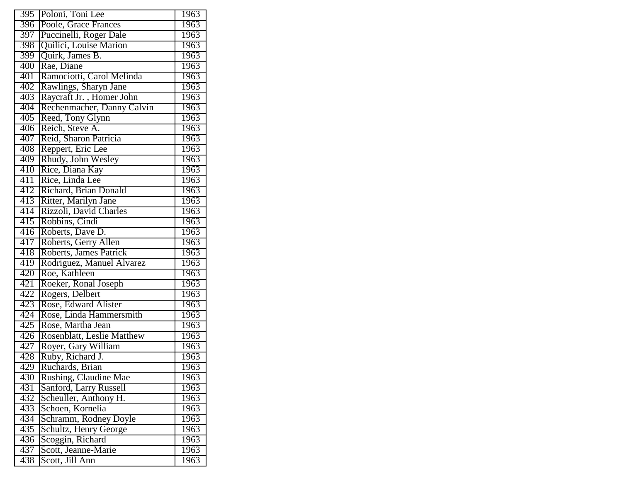| 395 | Poloni, Toni Lee                               | 1963 |
|-----|------------------------------------------------|------|
| 396 | Poole, Grace Frances                           | 1963 |
| 397 | Puccinelli, Roger Dale                         | 1963 |
| 398 | Quilici, Louise Marion                         | 1963 |
| 399 | Quirk, James B.                                | 1963 |
| 400 | Rae, Diane                                     | 1963 |
| 401 | Ramociotti, Carol Melinda                      | 1963 |
| 402 | Rawlings, Sharyn Jane                          | 1963 |
| 403 | Raycraft Jr., Homer John                       | 1963 |
| 404 | Rechenmacher, Danny Calvin                     | 1963 |
| 405 | Reed, Tony Glynn                               | 1963 |
| 406 | Reich, Steve A.                                | 1963 |
| 407 | Reid, Sharon Patricia                          | 1963 |
| 408 | Reppert, Eric Lee                              | 1963 |
| 409 | Rhudy, John Wesley                             | 1963 |
| 410 | Rice, Diana Kay                                | 1963 |
| 411 | Rice, Linda Lee                                | 1963 |
| 412 | Richard, Brian Donald                          | 1963 |
| 413 | Ritter, Marilyn Jane                           | 1963 |
| 414 | Rizzoli, David Charles                         | 1963 |
| 415 | Robbins, Cindi                                 | 1963 |
| 416 | Roberts, Dave D.                               | 1963 |
| 417 | Roberts, Gerry Allen<br>Roberts, James Patrick | 1963 |
| 418 |                                                | 1963 |
| 419 | Rodriguez, Manuel Alvarez                      | 1963 |
| 420 | Roe, Kathleen                                  | 1963 |
| 421 | Roeker, Ronal Joseph                           | 1963 |
| 422 | Rogers, Delbert                                | 1963 |
| 423 | Rose, Edward Alister                           | 1963 |
| 424 | Rose, Linda Hammersmith                        | 1963 |
| 425 | Rose, Martha Jean                              | 1963 |
| 426 | <b>Rosenblatt, Leslie Matthew</b>              | 1963 |
| 427 | Royer, Gary William                            | 1963 |
| 428 | Ruby, Richard J.                               | 1963 |
| 429 | Ruchards, Brian                                | 1963 |
| 430 | Rushing, Claudine Mae                          | 1963 |
| 431 | Sanford, Larry Russell                         | 1963 |
| 432 | Scheuller, Anthony H.                          | 1963 |
| 433 | Schoen, Kornelia                               | 1963 |
| 434 | Schramm, Rodney Doyle                          | 1963 |
| 435 | Schultz, Henry George                          | 1963 |
| 436 | Scoggin, Richard                               | 1963 |
| 437 | Scott, Jeanne-Marie                            | 1963 |
| 438 | Scott, Jill Ann                                | 1963 |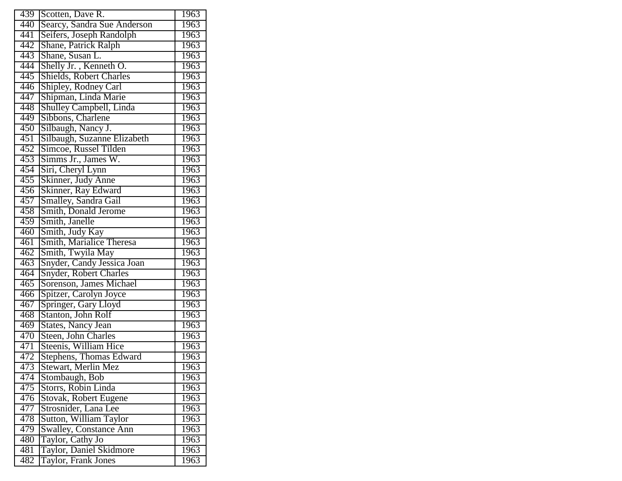| 439              | Scotten, Dave R.              | 1963 |
|------------------|-------------------------------|------|
| 440              | Searcy, Sandra Sue Anderson   | 1963 |
| 441              | Seifers, Joseph Randolph      | 1963 |
| 442              | Shane, Patrick Ralph          | 1963 |
| 443              | Shane, Susan L.               | 1963 |
| 444              | Shelly Jr., Kenneth O.        | 1963 |
| 445              | Shields, Robert Charles       | 1963 |
| 446              | Shipley, Rodney Carl          | 1963 |
| 447              | Shipman, Linda Marie          | 1963 |
| 448              | Shulley Campbell, Linda       | 1963 |
| 449              | Sibbons, Charlene             | 1963 |
| 450              | Silbaugh, Nancy J.            | 1963 |
| 451              | Silbaugh, Suzanne Elizabeth   | 1963 |
| 452              | Simcoe, Russel Tilden         | 1963 |
| $\overline{453}$ | Simms Jr., James W.           | 1963 |
| 454              | Siri, Cheryl Lynn             | 1963 |
| 455              | Skinner, Judy Anne            | 1963 |
| 456              | Skinner, Ray Edward           | 1963 |
| 457              | Smalley, Sandra Gail          | 1963 |
| 458              | Smith, Donald Jerome          | 1963 |
| 459              | Smith, Janelle                | 1963 |
| 460              | Smith, Judy Kay               | 1963 |
| 461              | Smith, Marialice Theresa      | 1963 |
| 462              | Smith, Twyila May             | 1963 |
| $\overline{463}$ | Snyder, Candy Jessica Joan    | 1963 |
| 464              | Snyder, Robert Charles        | 1963 |
| 465              | Sorenson, James Michael       | 1963 |
| 466              | Spitzer, Carolyn Joyce        | 1963 |
| 467              | Springer, Gary Lloyd          | 1963 |
| 468              | Stanton, John Rolf            | 1963 |
| 469              | <b>States, Nancy Jean</b>     | 1963 |
| 470              | Steen, John Charles           | 1963 |
| 471              | Steenis, William Hice         | 1963 |
| 472              | Stephens, Thomas Edward       | 1963 |
| 473              | Stewart, Merlin Mez           | 1963 |
| 474              | Stombaugh, Bob                | 1963 |
| 475              | Storrs, Robin Linda           | 1963 |
| 476              | Stovak, Robert Eugene         | 1963 |
| 477              | Strosnider, Lana Lee          | 1963 |
| 478              | Sutton, William Taylor        | 1963 |
| 479              | <b>Swalley, Constance Ann</b> | 1963 |
| 480              | Taylor, Cathy Jo              | 1963 |
| 481              | Taylor, Daniel Skidmore       | 1963 |
| 482              | Taylor, Frank Jones           | 1963 |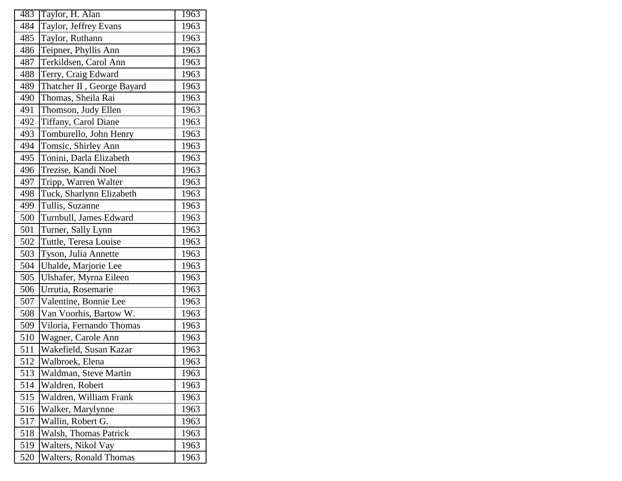| 483 | Taylor, H. Alan            | 1963 |
|-----|----------------------------|------|
| 484 | Taylor, Jeffrey Evans      | 1963 |
| 485 | Taylor, Ruthann            | 1963 |
| 486 | Teipner, Phyllis Ann       | 1963 |
| 487 | Terkildsen, Carol Ann      | 1963 |
| 488 | Terry, Craig Edward        | 1963 |
| 489 | Thatcher II, George Bayard | 1963 |
| 490 | Thomas, Sheila Rai         | 1963 |
| 491 | Thomson, Judy Ellen        | 1963 |
| 492 | Tiffany, Carol Diane       | 1963 |
| 493 | Tomburello, John Henry     | 1963 |
| 494 | Tomsic, Shirley Ann        | 1963 |
| 495 | Tonini, Darla Elizabeth    | 1963 |
| 496 | Trezise, Kandi Noel        | 1963 |
| 497 | Tripp, Warren Walter       | 1963 |
| 498 | Tuck, Sharlynn Elizabeth   | 1963 |
| 499 | Tullis, Suzanne            | 1963 |
| 500 | Turnbull, James Edward     | 1963 |
| 501 | Turner, Sally Lynn         | 1963 |
| 502 | Tuttle, Teresa Louise      | 1963 |
| 503 | Tyson, Julia Annette       | 1963 |
| 504 | Uhalde, Marjorie Lee       | 1963 |
| 505 | Ulshafer, Myrna Eileen     | 1963 |
| 506 | Urrutia, Rosemarie         | 1963 |
| 507 | Valentine, Bonnie Lee      | 1963 |
| 508 | Van Voorhis, Bartow W.     | 1963 |
| 509 | Viloria, Fernando Thomas   | 1963 |
| 510 | Wagner, Carole Ann         | 1963 |
| 511 | Wakefield, Susan Kazar     | 1963 |
| 512 | Walbroek, Elena            | 1963 |
| 513 | Waldman, Steve Martin      | 1963 |
| 514 | Waldren, Robert            | 1963 |
| 515 | Waldren, William Frank     | 1963 |
| 516 | Walker, Marylynne          | 1963 |
| 517 | Wallin, Robert G.          | 1963 |
| 518 | Walsh, Thomas Patrick      | 1963 |
| 519 | Walters, Nikol Vay         | 1963 |
| 520 | Walters, Ronald Thomas     | 1963 |